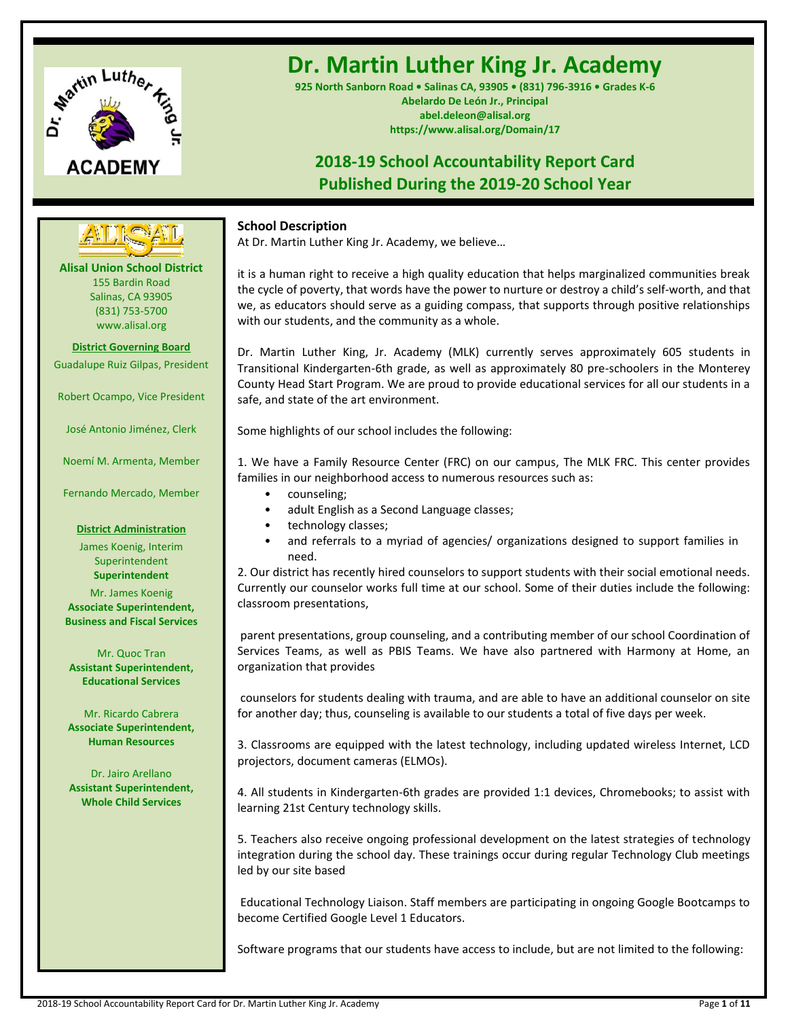

# **Dr. Martin Luther King Jr. Academy**

**925 North Sanborn Road • Salinas CA, 93905 • (831) 796-3916 • Grades K-6 Abelardo De León Jr., Principal abel.deleon@alisal.org https://www.alisal.org/Domain/17**

# **2018-19 School Accountability Report Card Published During the 2019-20 School Year**

# **School Description**

At Dr. Martin Luther King Jr. Academy, we believe…

it is a human right to receive a high quality education that helps marginalized communities break the cycle of poverty, that words have the power to nurture or destroy a child's self-worth, and that we, as educators should serve as a guiding compass, that supports through positive relationships with our students, and the community as a whole.

Dr. Martin Luther King, Jr. Academy (MLK) currently serves approximately 605 students in Transitional Kindergarten-6th grade, as well as approximately 80 pre-schoolers in the Monterey County Head Start Program. We are proud to provide educational services for all our students in a safe, and state of the art environment.

Some highlights of our school includes the following:

1. We have a Family Resource Center (FRC) on our campus, The MLK FRC. This center provides families in our neighborhood access to numerous resources such as:

- counseling;
- adult English as a Second Language classes;
- technology classes;
- and referrals to a myriad of agencies/ organizations designed to support families in need.

2. Our district has recently hired counselors to support students with their social emotional needs. Currently our counselor works full time at our school. Some of their duties include the following: classroom presentations,

parent presentations, group counseling, and a contributing member of our school Coordination of Services Teams, as well as PBIS Teams. We have also partnered with Harmony at Home, an organization that provides

counselors for students dealing with trauma, and are able to have an additional counselor on site for another day; thus, counseling is available to our students a total of five days per week.

3. Classrooms are equipped with the latest technology, including updated wireless Internet, LCD projectors, document cameras (ELMOs).

4. All students in Kindergarten-6th grades are provided 1:1 devices, Chromebooks; to assist with learning 21st Century technology skills.

5. Teachers also receive ongoing professional development on the latest strategies of technology integration during the school day. These trainings occur during regular Technology Club meetings led by our site based

Educational Technology Liaison. Staff members are participating in ongoing Google Bootcamps to become Certified Google Level 1 Educators.

Software programs that our students have access to include, but are not limited to the following:

**Alisal Union School District** 155 Bardin Road Salinas, CA 93905 (831) 753-5700 www.alisal.org **---- ----**

**District Governing Board** Guadalupe Ruiz Gilpas, President

Robert Ocampo, Vice President

José Antonio Jiménez, Clerk

Noemí M. Armenta, Member

Fernando Mercado, Member

# **District Administration**

James Koenig, Interim Superintendent **Superintendent**

Mr. James Koenig **Associate Superintendent, Business and Fiscal Services**

Mr. Quoc Tran **Assistant Superintendent, Educational Services**

Mr. Ricardo Cabrera **Associate Superintendent, Human Resources**

Dr. Jairo Arellano **Assistant Superintendent, Whole Child Services**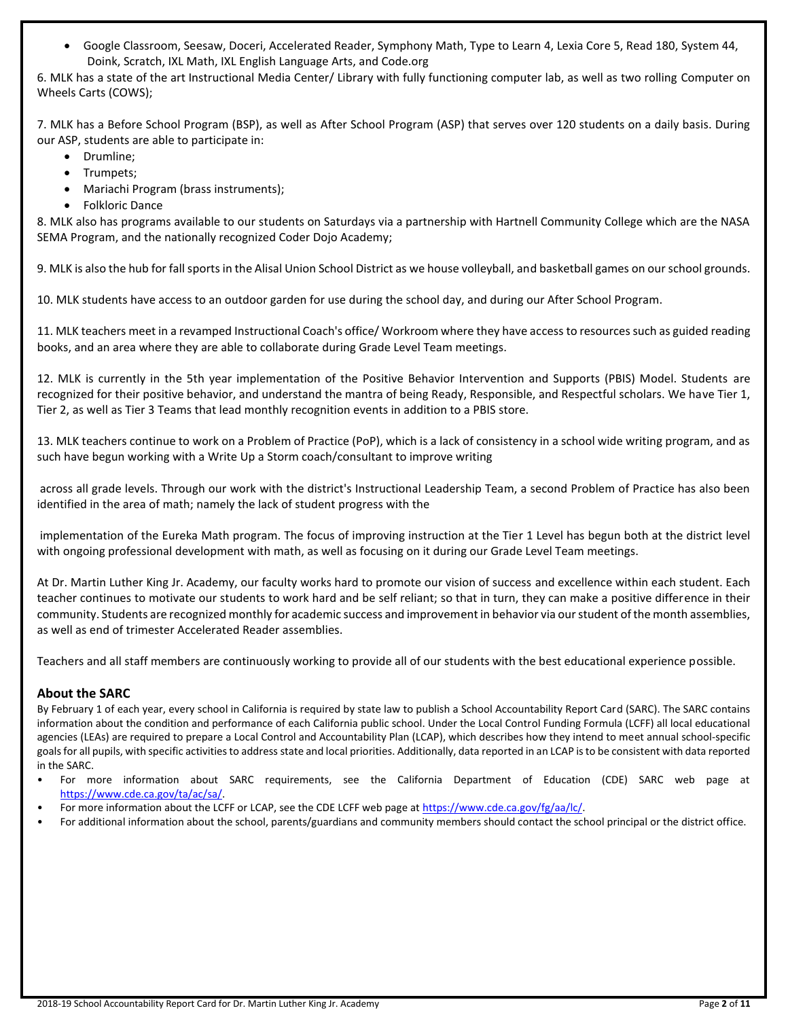• Google Classroom, Seesaw, Doceri, Accelerated Reader, Symphony Math, Type to Learn 4, Lexia Core 5, Read 180, System 44, Doink, Scratch, IXL Math, IXL English Language Arts, and Code.org

6. MLK has a state of the art Instructional Media Center/ Library with fully functioning computer lab, as well as two rolling Computer on Wheels Carts (COWS);

7. MLK has a Before School Program (BSP), as well as After School Program (ASP) that serves over 120 students on a daily basis. During our ASP, students are able to participate in:

- Drumline;
- Trumpets;
- Mariachi Program (brass instruments);
- Folkloric Dance

8. MLK also has programs available to our students on Saturdays via a partnership with Hartnell Community College which are the NASA SEMA Program, and the nationally recognized Coder Dojo Academy;

9. MLK is also the hub for fall sports in the Alisal Union School District as we house volleyball, and basketball games on our school grounds.

10. MLK students have access to an outdoor garden for use during the school day, and during our After School Program.

11. MLK teachers meet in a revamped Instructional Coach's office/ Workroom where they have access to resources such as guided reading books, and an area where they are able to collaborate during Grade Level Team meetings.

12. MLK is currently in the 5th year implementation of the Positive Behavior Intervention and Supports (PBIS) Model. Students are recognized for their positive behavior, and understand the mantra of being Ready, Responsible, and Respectful scholars. We have Tier 1, Tier 2, as well as Tier 3 Teams that lead monthly recognition events in addition to a PBIS store.

13. MLK teachers continue to work on a Problem of Practice (PoP), which is a lack of consistency in a school wide writing program, and as such have begun working with a Write Up a Storm coach/consultant to improve writing

across all grade levels. Through our work with the district's Instructional Leadership Team, a second Problem of Practice has also been identified in the area of math; namely the lack of student progress with the

implementation of the Eureka Math program. The focus of improving instruction at the Tier 1 Level has begun both at the district level with ongoing professional development with math, as well as focusing on it during our Grade Level Team meetings.

At Dr. Martin Luther King Jr. Academy, our faculty works hard to promote our vision of success and excellence within each student. Each teacher continues to motivate our students to work hard and be self reliant; so that in turn, they can make a positive difference in their community. Students are recognized monthly for academic success and improvement in behavior via our student of the month assemblies, as well as end of trimester Accelerated Reader assemblies.

Teachers and all staff members are continuously working to provide all of our students with the best educational experience possible.

# **About the SARC**

By February 1 of each year, every school in California is required by state law to publish a School Accountability Report Card (SARC). The SARC contains information about the condition and performance of each California public school. Under the Local Control Funding Formula (LCFF) all local educational agencies (LEAs) are required to prepare a Local Control and Accountability Plan (LCAP), which describes how they intend to meet annual school-specific goals for all pupils, with specific activities to address state and local priorities. Additionally, data reported in an LCAP is to be consistent with data reported in the SARC.

- For more information about SARC requirements, see the California Department of Education (CDE) SARC web page at [https://www.cde.ca.gov/ta/ac/sa/.](https://www.cde.ca.gov/ta/ac/sa/)
- For more information about the LCFF or LCAP, see the CDE LCFF web page a[t https://www.cde.ca.gov/fg/aa/lc/.](https://www.cde.ca.gov/fg/aa/lc/)
- For additional information about the school, parents/guardians and community members should contact the school principal or the district office.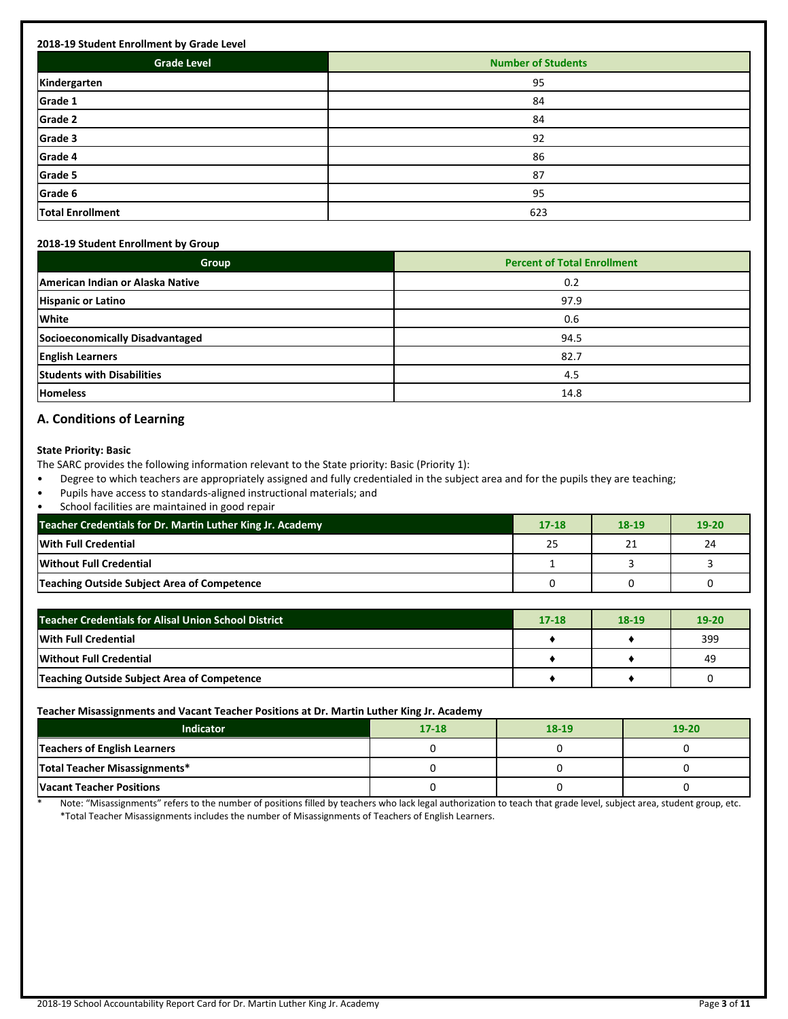| <b>Grade Level</b>      | <b>Number of Students</b> |
|-------------------------|---------------------------|
| Kindergarten            | 95                        |
| Grade 1                 | 84                        |
| Grade 2                 | 84                        |
| Grade 3                 | 92                        |
| Grade 4                 | 86                        |
| Grade 5                 | 87                        |
| Grade 6                 | 95                        |
| <b>Total Enrollment</b> | 623                       |

#### **2018-19 Student Enrollment by Group**

| Group                             | <b>Percent of Total Enrollment</b> |
|-----------------------------------|------------------------------------|
| American Indian or Alaska Native  | 0.2                                |
| <b>Hispanic or Latino</b>         | 97.9                               |
| <b>White</b>                      | 0.6                                |
| Socioeconomically Disadvantaged   | 94.5                               |
| <b>English Learners</b>           | 82.7                               |
| <b>Students with Disabilities</b> | 4.5                                |
| <b>Homeless</b>                   | 14.8                               |

# **A. Conditions of Learning**

#### **State Priority: Basic**

The SARC provides the following information relevant to the State priority: Basic (Priority 1):

- Degree to which teachers are appropriately assigned and fully credentialed in the subject area and for the pupils they are teaching;
- Pupils have access to standards-aligned instructional materials; and
- School facilities are maintained in good repair

| Teacher Credentials for Dr. Martin Luther King Jr. Academy | $17 - 18$ | 18-19 | $19 - 20$ |
|------------------------------------------------------------|-----------|-------|-----------|
| With Full Credential                                       | 25        | 21    | 24        |
| Without Full Credential                                    |           |       |           |
| Teaching Outside Subject Area of Competence                |           |       |           |

| <b>Teacher Credentials for Alisal Union School District</b> | $17 - 18$ | 18-19 | $19 - 20$ |
|-------------------------------------------------------------|-----------|-------|-----------|
| <b>With Full Credential</b>                                 |           |       | 399       |
| Without Full Credential                                     |           |       | 49        |
| Teaching Outside Subject Area of Competence                 |           |       |           |

#### **Teacher Misassignments and Vacant Teacher Positions at Dr. Martin Luther King Jr. Academy**

| Indicator                       | $17 - 18$ | 18-19 | $19 - 20$ |
|---------------------------------|-----------|-------|-----------|
| Teachers of English Learners    |           |       |           |
| Total Teacher Misassignments*   |           |       |           |
| <b>Vacant Teacher Positions</b> |           |       |           |

Note: "Misassignments" refers to the number of positions filled by teachers who lack legal authorization to teach that grade level, subject area, student group, etc. \*Total Teacher Misassignments includes the number of Misassignments of Teachers of English Learners.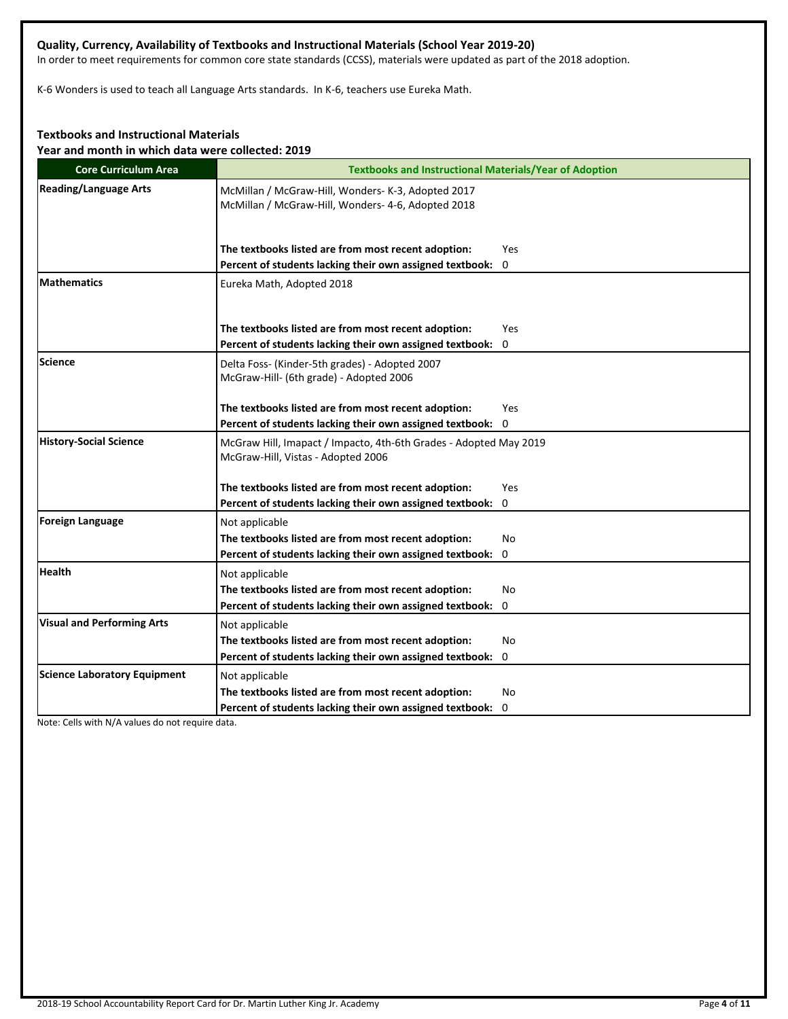# **Quality, Currency, Availability of Textbooks and Instructional Materials (School Year 2019-20)**

In order to meet requirements for common core state standards (CCSS), materials were updated as part of the 2018 adoption.

K-6 Wonders is used to teach all Language Arts standards. In K-6, teachers use Eureka Math.

# **Textbooks and Instructional Materials**

**Year and month in which data were collected: 2019**

| <b>Core Curriculum Area</b>         | <b>Textbooks and Instructional Materials/Year of Adoption</b>                                                                             |
|-------------------------------------|-------------------------------------------------------------------------------------------------------------------------------------------|
| <b>Reading/Language Arts</b>        | McMillan / McGraw-Hill, Wonders- K-3, Adopted 2017<br>McMillan / McGraw-Hill, Wonders- 4-6, Adopted 2018                                  |
|                                     | The textbooks listed are from most recent adoption:<br>Yes                                                                                |
| <b>Mathematics</b>                  | Percent of students lacking their own assigned textbook: 0<br>Eureka Math, Adopted 2018                                                   |
|                                     | The textbooks listed are from most recent adoption:<br>Yes<br>Percent of students lacking their own assigned textbook: 0                  |
| Science                             | Delta Foss- (Kinder-5th grades) - Adopted 2007<br>McGraw-Hill- (6th grade) - Adopted 2006                                                 |
|                                     | The textbooks listed are from most recent adoption:<br>Yes<br>Percent of students lacking their own assigned textbook: 0                  |
| <b>History-Social Science</b>       | McGraw Hill, Imapact / Impacto, 4th-6th Grades - Adopted May 2019<br>McGraw-Hill, Vistas - Adopted 2006                                   |
|                                     | The textbooks listed are from most recent adoption:<br>Yes                                                                                |
| <b>Foreign Language</b>             | Percent of students lacking their own assigned textbook: 0                                                                                |
|                                     | Not applicable<br>The textbooks listed are from most recent adoption:<br>No<br>Percent of students lacking their own assigned textbook: 0 |
| <b>Health</b>                       | Not applicable                                                                                                                            |
|                                     | The textbooks listed are from most recent adoption:<br>No<br>Percent of students lacking their own assigned textbook: 0                   |
| <b>Visual and Performing Arts</b>   | Not applicable                                                                                                                            |
|                                     | The textbooks listed are from most recent adoption:<br>No                                                                                 |
|                                     | Percent of students lacking their own assigned textbook: 0                                                                                |
| <b>Science Laboratory Equipment</b> | Not applicable                                                                                                                            |
|                                     | The textbooks listed are from most recent adoption:<br>No                                                                                 |
|                                     | Percent of students lacking their own assigned textbook: 0                                                                                |

Note: Cells with N/A values do not require data.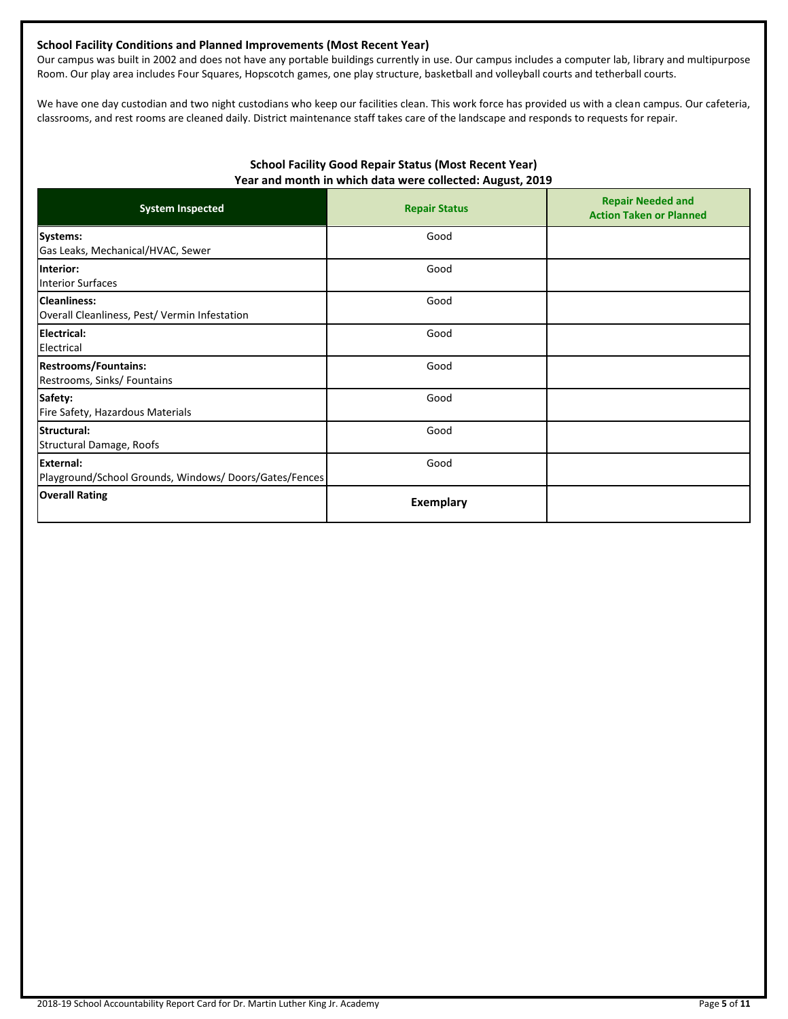# **School Facility Conditions and Planned Improvements (Most Recent Year)**

Our campus was built in 2002 and does not have any portable buildings currently in use. Our campus includes a computer lab, library and multipurpose Room. Our play area includes Four Squares, Hopscotch games, one play structure, basketball and volleyball courts and tetherball courts.

We have one day custodian and two night custodians who keep our facilities clean. This work force has provided us with a clean campus. Our cafeteria, classrooms, and rest rooms are cleaned daily. District maintenance staff takes care of the landscape and responds to requests for repair.

# **School Facility Good Repair Status (Most Recent Year) Year and month in which data were collected: August, 2019**

| <b>System Inspected</b>                                             | <b>Repair Status</b> | <b>Repair Needed and</b><br><b>Action Taken or Planned</b> |
|---------------------------------------------------------------------|----------------------|------------------------------------------------------------|
| Systems:<br>Gas Leaks, Mechanical/HVAC, Sewer                       | Good                 |                                                            |
| Interior:<br><b>Interior Surfaces</b>                               | Good                 |                                                            |
| <b>Cleanliness:</b><br>Overall Cleanliness, Pest/Vermin Infestation | Good                 |                                                            |
| <b>Electrical:</b><br>Electrical                                    | Good                 |                                                            |
| <b>Restrooms/Fountains:</b><br>Restrooms, Sinks/ Fountains          | Good                 |                                                            |
| Safety:<br>Fire Safety, Hazardous Materials                         | Good                 |                                                            |
| Structural:<br>Structural Damage, Roofs                             | Good                 |                                                            |
| External:<br>Playground/School Grounds, Windows/Doors/Gates/Fences  | Good                 |                                                            |
| <b>Overall Rating</b>                                               | <b>Exemplary</b>     |                                                            |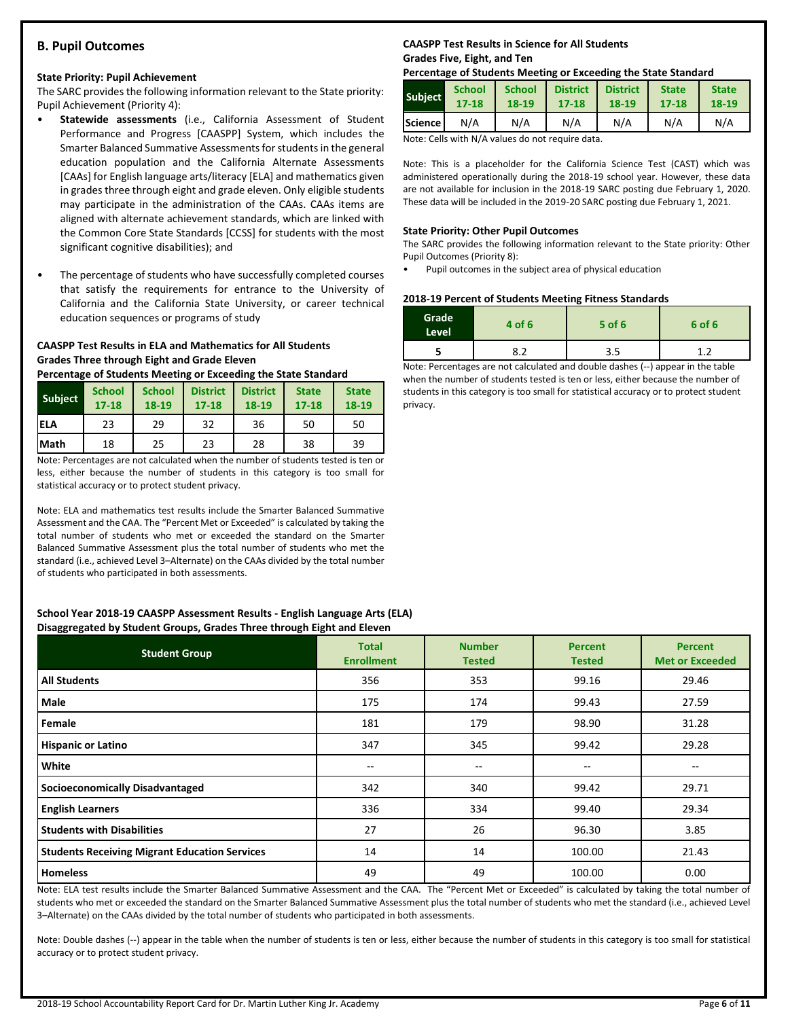# **B. Pupil Outcomes**

#### **State Priority: Pupil Achievement**

The SARC provides the following information relevant to the State priority: Pupil Achievement (Priority 4):

- **Statewide assessments** (i.e., California Assessment of Student Performance and Progress [CAASPP] System, which includes the Smarter Balanced Summative Assessments for students in the general education population and the California Alternate Assessments [CAAs] for English language arts/literacy [ELA] and mathematics given in grades three through eight and grade eleven. Only eligible students may participate in the administration of the CAAs. CAAs items are aligned with alternate achievement standards, which are linked with the Common Core State Standards [CCSS] for students with the most significant cognitive disabilities); and
- The percentage of students who have successfully completed courses that satisfy the requirements for entrance to the University of California and the California State University, or career technical education sequences or programs of study

# **CAASPP Test Results in ELA and Mathematics for All Students Grades Three through Eight and Grade Eleven**

**Percentage of Students Meeting or Exceeding the State Standard**

| <b>Subject</b> | <b>School</b><br>$17 - 18$ | <b>School</b><br>18-19 | <b>District</b><br>$17 - 18$ | <b>District</b><br>18-19 | <b>State</b><br>$17 - 18$ | <b>State</b><br>18-19 |
|----------------|----------------------------|------------------------|------------------------------|--------------------------|---------------------------|-----------------------|
| <b>IELA</b>    | 23                         | 29                     | 32                           | 36                       | 50                        | 50                    |
| <b>Math</b>    | 18                         | 25                     | 23                           | 28                       | 38                        | 39                    |

Note: Percentages are not calculated when the number of students tested is ten or less, either because the number of students in this category is too small for statistical accuracy or to protect student privacy.

Note: ELA and mathematics test results include the Smarter Balanced Summative Assessment and the CAA. The "Percent Met or Exceeded" is calculated by taking the total number of students who met or exceeded the standard on the Smarter Balanced Summative Assessment plus the total number of students who met the standard (i.e., achieved Level 3–Alternate) on the CAAs divided by the total number of students who participated in both assessments.

#### **School Year 2018-19 CAASPP Assessment Results - English Language Arts (ELA) Disaggregated by Student Groups, Grades Three through Eight and Eleven**

| <b>Student Group</b>                                 | <b>Total</b><br><b>Enrollment</b> | <b>Number</b><br><b>Tested</b> | <b>Percent</b><br><b>Tested</b> | <b>Percent</b><br><b>Met or Exceeded</b> |
|------------------------------------------------------|-----------------------------------|--------------------------------|---------------------------------|------------------------------------------|
| <b>All Students</b>                                  | 356                               | 353                            | 99.16                           | 29.46                                    |
| Male                                                 | 175                               | 174                            | 99.43                           | 27.59                                    |
| Female                                               | 181                               | 179                            | 98.90                           | 31.28                                    |
| <b>Hispanic or Latino</b>                            | 347                               | 345                            | 99.42                           | 29.28                                    |
| White                                                | --                                | $\overline{\phantom{m}}$       | $- -$                           | $-$                                      |
| <b>Socioeconomically Disadvantaged</b>               | 342                               | 340                            | 99.42                           | 29.71                                    |
| <b>English Learners</b>                              | 336                               | 334                            | 99.40                           | 29.34                                    |
| <b>Students with Disabilities</b>                    | 27                                | 26                             | 96.30                           | 3.85                                     |
| <b>Students Receiving Migrant Education Services</b> | 14                                | 14                             | 100.00                          | 21.43                                    |
| <b>Homeless</b>                                      | 49                                | 49                             | 100.00                          | 0.00                                     |

Note: ELA test results include the Smarter Balanced Summative Assessment and the CAA. The "Percent Met or Exceeded" is calculated by taking the total number of students who met or exceeded the standard on the Smarter Balanced Summative Assessment plus the total number of students who met the standard (i.e., achieved Level 3–Alternate) on the CAAs divided by the total number of students who participated in both assessments.

Note: Double dashes (--) appear in the table when the number of students is ten or less, either because the number of students in this category is too small for statistical accuracy or to protect student privacy.

# **CAASPP Test Results in Science for All Students Grades Five, Eight, and Ten**

#### **Percentage of Students Meeting or Exceeding the State Standard**

| <b>Subject</b>  | <b>School</b> | <b>School</b> | <b>District</b> | <b>District</b> | <b>State</b> | <b>State</b> |
|-----------------|---------------|---------------|-----------------|-----------------|--------------|--------------|
|                 | $17 - 18$     | 18-19         | 17-18           | 18-19           | 17-18        | 18-19        |
| <b>IScience</b> | N/A           | N/A           | N/A             | N/A             | N/A          | N/A          |

Note: Cells with N/A values do not require data.

Note: This is a placeholder for the California Science Test (CAST) which was administered operationally during the 2018-19 school year. However, these data are not available for inclusion in the 2018-19 SARC posting due February 1, 2020. These data will be included in the 2019-20 SARC posting due February 1, 2021.

#### **State Priority: Other Pupil Outcomes**

The SARC provides the following information relevant to the State priority: Other Pupil Outcomes (Priority 8):

• Pupil outcomes in the subject area of physical education

#### **2018-19 Percent of Students Meeting Fitness Standards**

| Grade<br>Level | 4 of 6 | $5$ of 6 | 6 of 6 |
|----------------|--------|----------|--------|
|                | ດາ     | 3.5      | 4      |

Note: Percentages are not calculated and double dashes (--) appear in the table when the number of students tested is ten or less, either because the number of students in this category is too small for statistical accuracy or to protect student privacy.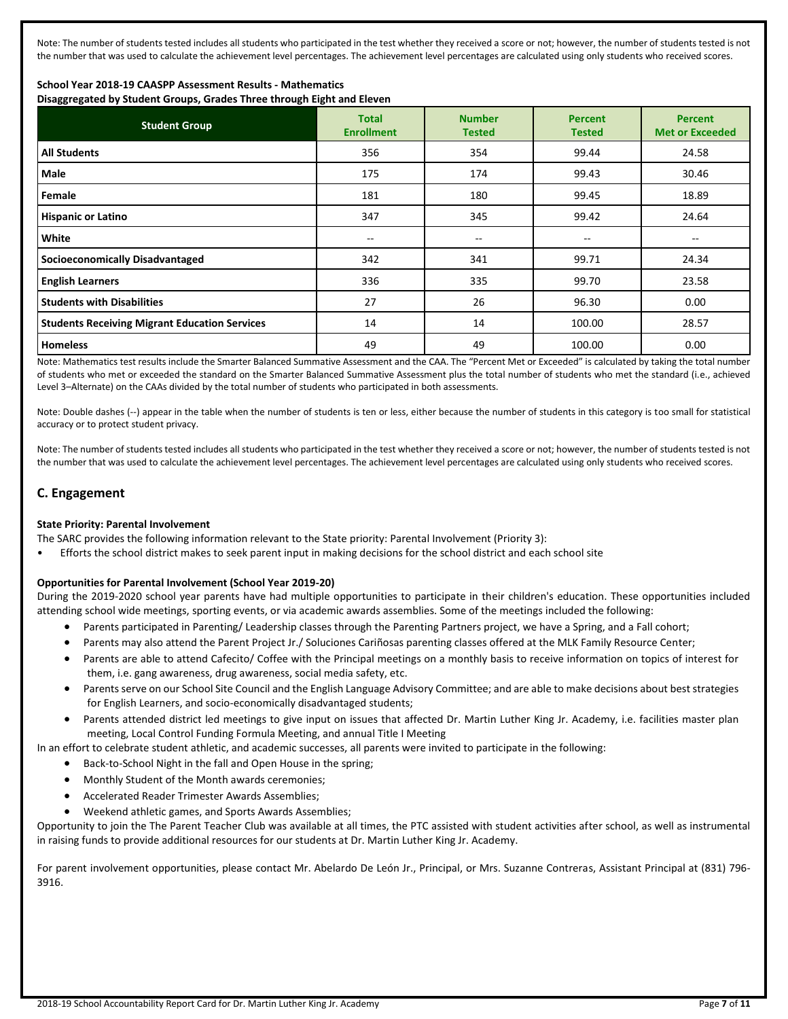Note: The number of students tested includes all students who participated in the test whether they received a score or not; however, the number of students tested is not the number that was used to calculate the achievement level percentages. The achievement level percentages are calculated using only students who received scores.

# **School Year 2018-19 CAASPP Assessment Results - Mathematics**

**Disaggregated by Student Groups, Grades Three through Eight and Eleven**

| <b>Student Group</b>                                 | <b>Total</b><br><b>Enrollment</b> | <b>Number</b><br><b>Tested</b> | <b>Percent</b><br><b>Tested</b> | <b>Percent</b><br><b>Met or Exceeded</b> |
|------------------------------------------------------|-----------------------------------|--------------------------------|---------------------------------|------------------------------------------|
| <b>All Students</b>                                  | 356                               | 354                            | 99.44                           | 24.58                                    |
| Male                                                 | 175                               | 174                            | 99.43                           | 30.46                                    |
| Female                                               | 181                               | 180                            | 99.45                           | 18.89                                    |
| <b>Hispanic or Latino</b>                            | 347                               | 345                            | 99.42                           | 24.64                                    |
| White                                                | $- -$                             | $- -$                          | --                              | --                                       |
| <b>Socioeconomically Disadvantaged</b>               | 342                               | 341                            | 99.71                           | 24.34                                    |
| <b>English Learners</b>                              | 336                               | 335                            | 99.70                           | 23.58                                    |
| <b>Students with Disabilities</b>                    | 27                                | 26                             | 96.30                           | 0.00                                     |
| <b>Students Receiving Migrant Education Services</b> | 14                                | 14                             | 100.00                          | 28.57                                    |
| <b>Homeless</b>                                      | 49                                | 49                             | 100.00                          | 0.00                                     |

Note: Mathematics test results include the Smarter Balanced Summative Assessment and the CAA. The "Percent Met or Exceeded" is calculated by taking the total number of students who met or exceeded the standard on the Smarter Balanced Summative Assessment plus the total number of students who met the standard (i.e., achieved Level 3–Alternate) on the CAAs divided by the total number of students who participated in both assessments.

Note: Double dashes (--) appear in the table when the number of students is ten or less, either because the number of students in this category is too small for statistical accuracy or to protect student privacy.

Note: The number of students tested includes all students who participated in the test whether they received a score or not; however, the number of students tested is not the number that was used to calculate the achievement level percentages. The achievement level percentages are calculated using only students who received scores.

# **C. Engagement**

## **State Priority: Parental Involvement**

The SARC provides the following information relevant to the State priority: Parental Involvement (Priority 3):

• Efforts the school district makes to seek parent input in making decisions for the school district and each school site

## **Opportunities for Parental Involvement (School Year 2019-20)**

During the 2019-2020 school year parents have had multiple opportunities to participate in their children's education. These opportunities included attending school wide meetings, sporting events, or via academic awards assemblies. Some of the meetings included the following:

- Parents participated in Parenting/ Leadership classes through the Parenting Partners project, we have a Spring, and a Fall cohort;
- Parents may also attend the Parent Project Jr./ Soluciones Cariñosas parenting classes offered at the MLK Family Resource Center;
- Parents are able to attend Cafecito/ Coffee with the Principal meetings on a monthly basis to receive information on topics of interest for them, i.e. gang awareness, drug awareness, social media safety, etc.
- Parents serve on our School Site Council and the English Language Advisory Committee; and are able to make decisions about best strategies for English Learners, and socio-economically disadvantaged students;
- Parents attended district led meetings to give input on issues that affected Dr. Martin Luther King Jr. Academy, i.e. facilities master plan meeting, Local Control Funding Formula Meeting, and annual Title I Meeting

In an effort to celebrate student athletic, and academic successes, all parents were invited to participate in the following:

- Back-to-School Night in the fall and Open House in the spring;
- Monthly Student of the Month awards ceremonies;
- Accelerated Reader Trimester Awards Assemblies;
- Weekend athletic games, and Sports Awards Assemblies;

Opportunity to join the The Parent Teacher Club was available at all times, the PTC assisted with student activities after school, as well as instrumental in raising funds to provide additional resources for our students at Dr. Martin Luther King Jr. Academy.

For parent involvement opportunities, please contact Mr. Abelardo De León Jr., Principal, or Mrs. Suzanne Contreras, Assistant Principal at (831) 796- 3916.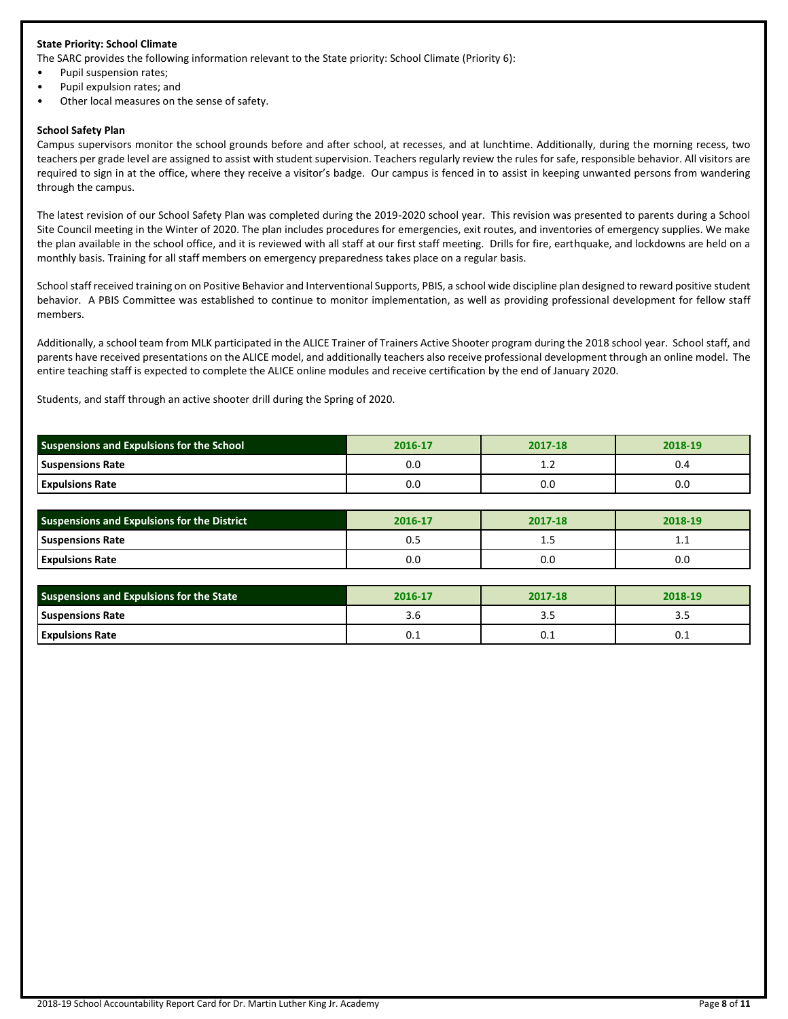### **State Priority: School Climate**

The SARC provides the following information relevant to the State priority: School Climate (Priority 6):

- Pupil suspension rates;
- Pupil expulsion rates; and
- Other local measures on the sense of safety.

#### **School Safety Plan**

Campus supervisors monitor the school grounds before and after school, at recesses, and at lunchtime. Additionally, during the morning recess, two teachers per grade level are assigned to assist with student supervision. Teachers regularly review the rules for safe, responsible behavior. All visitors are required to sign in at the office, where they receive a visitor's badge. Our campus is fenced in to assist in keeping unwanted persons from wandering through the campus.

The latest revision of our School Safety Plan was completed during the 2019-2020 school year. This revision was presented to parents during a School Site Council meeting in the Winter of 2020. The plan includes procedures for emergencies, exit routes, and inventories of emergency supplies. We make the plan available in the school office, and it is reviewed with all staff at our first staff meeting. Drills for fire, earthquake, and lockdowns are held on a monthly basis. Training for all staff members on emergency preparedness takes place on a regular basis.

School staff received training on on Positive Behavior and Interventional Supports, PBIS, a school wide discipline plan designed to reward positive student behavior. A PBIS Committee was established to continue to monitor implementation, as well as providing professional development for fellow staff members.

Additionally, a school team from MLK participated in the ALICE Trainer of Trainers Active Shooter program during the 2018 school year. School staff, and parents have received presentations on the ALICE model, and additionally teachers also receive professional development through an online model. The entire teaching staff is expected to complete the ALICE online modules and receive certification by the end of January 2020.

Students, and staff through an active shooter drill during the Spring of 2020.

| <b>Suspensions and Expulsions for the School</b> | 2016-17 | 2017-18      | 2018-19  |  |
|--------------------------------------------------|---------|--------------|----------|--|
| <b>Suspensions Rate</b>                          | 0.0     | . . <u>.</u> | U.4      |  |
| <b>Expulsions Rate</b>                           | 0.0     | u.u          | $_{0.0}$ |  |

| Suspensions and Expulsions for the District | 2016-17 | 2017-18 | 2018-19 |
|---------------------------------------------|---------|---------|---------|
| <b>Suspensions Rate</b>                     | υ.:     | <b></b> | ᆠᆞᆠ     |
| <b>Expulsions Rate</b>                      | 0.0     | 0.0     | 0.0     |

| <b>Suspensions and Expulsions for the State</b> | 2016-17 | 2017-18 | 2018-19 |
|-------------------------------------------------|---------|---------|---------|
| <b>Suspensions Rate</b>                         | 3.O     | ر. د    | ن. ت    |
| <b>Expulsions Rate</b>                          | U.L     | U.L     | U.L     |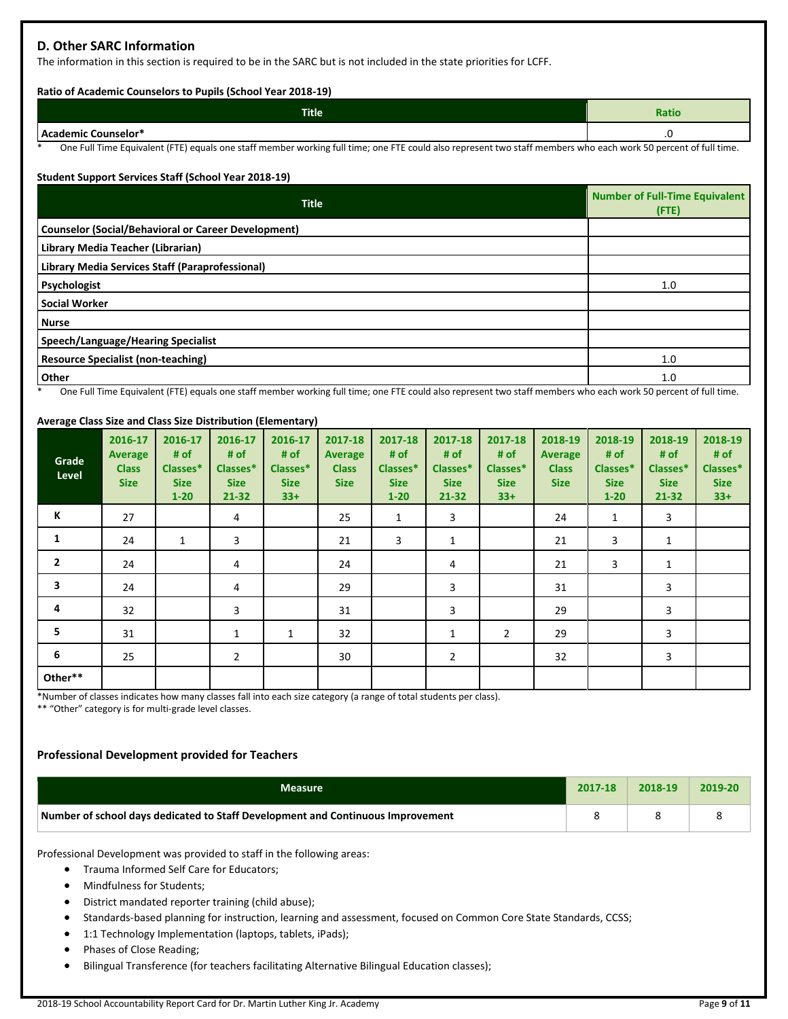# **D. Other SARC Information**

The information in this section is required to be in the SARC but is not included in the state priorities for LCFF.

#### **Ratio of Academic Counselors to Pupils (School Year 2018-19)**

| <b>Title</b>                             | Ratio                |
|------------------------------------------|----------------------|
| Acad<br><b>Jemic Counselor*</b><br>- - - | $\ddot{\phantom{0}}$ |

One Full Time Equivalent (FTE) equals one staff member working full time; one FTE could also represent two staff members who each work 50 percent of full time.

# **Student Support Services Staff (School Year 2018-19)**

| <b>Title</b>                                                                                                                                     | <b>Number of Full-Time Equivalent</b><br>(FTE) |
|--------------------------------------------------------------------------------------------------------------------------------------------------|------------------------------------------------|
| <b>Counselor (Social/Behavioral or Career Development)</b>                                                                                       |                                                |
| Library Media Teacher (Librarian)                                                                                                                |                                                |
| Library Media Services Staff (Paraprofessional)                                                                                                  |                                                |
| Psychologist                                                                                                                                     | 1.0                                            |
| <b>Social Worker</b>                                                                                                                             |                                                |
| <b>Nurse</b>                                                                                                                                     |                                                |
| Speech/Language/Hearing Specialist                                                                                                               |                                                |
| <b>Resource Specialist (non-teaching)</b>                                                                                                        | 1.0                                            |
| Other<br>Are the distribution feed to the contract theory and functions are contracted to contract the section and contracted to the contraction | 1.0<br>$\sim$ C $\sim$ 11 a.m.                 |

One Full Time Equivalent (FTE) equals one staff member working full time; one FTE could also represent two staff members who each work 50 percent of full time.

## **Average Class Size and Class Size Distribution (Elementary)**

| Grade<br>Level | 2016-17<br><b>Average</b><br><b>Class</b><br><b>Size</b> | 2016-17<br># of<br>Classes*<br><b>Size</b><br>$1 - 20$ | 2016-17<br># of<br>Classes*<br><b>Size</b><br>21-32 | 2016-17<br># of<br>Classes*<br><b>Size</b><br>$33+$ | 2017-18<br>Average<br><b>Class</b><br><b>Size</b> | 2017-18<br># of<br>Classes*<br><b>Size</b><br>$1 - 20$ | 2017-18<br># of<br>Classes*<br><b>Size</b><br>21-32 | 2017-18<br># of<br>Classes*<br><b>Size</b><br>$33+$ | 2018-19<br><b>Average</b><br><b>Class</b><br><b>Size</b> | 2018-19<br># of<br>Classes*<br><b>Size</b><br>$1 - 20$ | 2018-19<br># of<br>Classes*<br><b>Size</b><br>$21 - 32$ | 2018-19<br># of<br>Classes*<br><b>Size</b><br>$33+$ |
|----------------|----------------------------------------------------------|--------------------------------------------------------|-----------------------------------------------------|-----------------------------------------------------|---------------------------------------------------|--------------------------------------------------------|-----------------------------------------------------|-----------------------------------------------------|----------------------------------------------------------|--------------------------------------------------------|---------------------------------------------------------|-----------------------------------------------------|
| К              | 27                                                       |                                                        | 4                                                   |                                                     | 25                                                | 1                                                      | 3                                                   |                                                     | 24                                                       | 1                                                      | 3                                                       |                                                     |
| 1              | 24                                                       | $\mathbf{1}$                                           | 3                                                   |                                                     | 21                                                | 3                                                      | $\mathbf{1}$                                        |                                                     | 21                                                       | 3                                                      | 1                                                       |                                                     |
| $\overline{2}$ | 24                                                       |                                                        | 4                                                   |                                                     | 24                                                |                                                        | 4                                                   |                                                     | 21                                                       | 3                                                      | 1                                                       |                                                     |
| 3              | 24                                                       |                                                        | 4                                                   |                                                     | 29                                                |                                                        | 3                                                   |                                                     | 31                                                       |                                                        | 3                                                       |                                                     |
| 4              | 32                                                       |                                                        | 3                                                   |                                                     | 31                                                |                                                        | 3                                                   |                                                     | 29                                                       |                                                        | 3                                                       |                                                     |
| 5              | 31                                                       |                                                        | $\mathbf{1}$                                        | $\mathbf{1}$                                        | 32                                                |                                                        | $\mathbf{1}$                                        | $\overline{2}$                                      | 29                                                       |                                                        | 3                                                       |                                                     |
| 6              | 25                                                       |                                                        | $\overline{2}$                                      |                                                     | 30                                                |                                                        | $\overline{2}$                                      |                                                     | 32                                                       |                                                        | 3                                                       |                                                     |
| Other**        |                                                          |                                                        |                                                     |                                                     |                                                   |                                                        |                                                     |                                                     |                                                          |                                                        |                                                         |                                                     |

\*Number of classes indicates how many classes fall into each size category (a range of total students per class).

\*\* "Other" category is for multi-grade level classes.

## **Professional Development provided for Teachers**

| <b>Measure</b>                                                                  | 2017-18 | 2018-19 | 2019-20 |
|---------------------------------------------------------------------------------|---------|---------|---------|
| Number of school days dedicated to Staff Development and Continuous Improvement |         |         |         |

Professional Development was provided to staff in the following areas:

- Trauma Informed Self Care for Educators;
- Mindfulness for Students;
- District mandated reporter training (child abuse);
- Standards-based planning for instruction, learning and assessment, focused on Common Core State Standards, CCSS;
- 1:1 Technology Implementation (laptops, tablets, iPads);
- Phases of Close Reading;
- Bilingual Transference (for teachers facilitating Alternative Bilingual Education classes);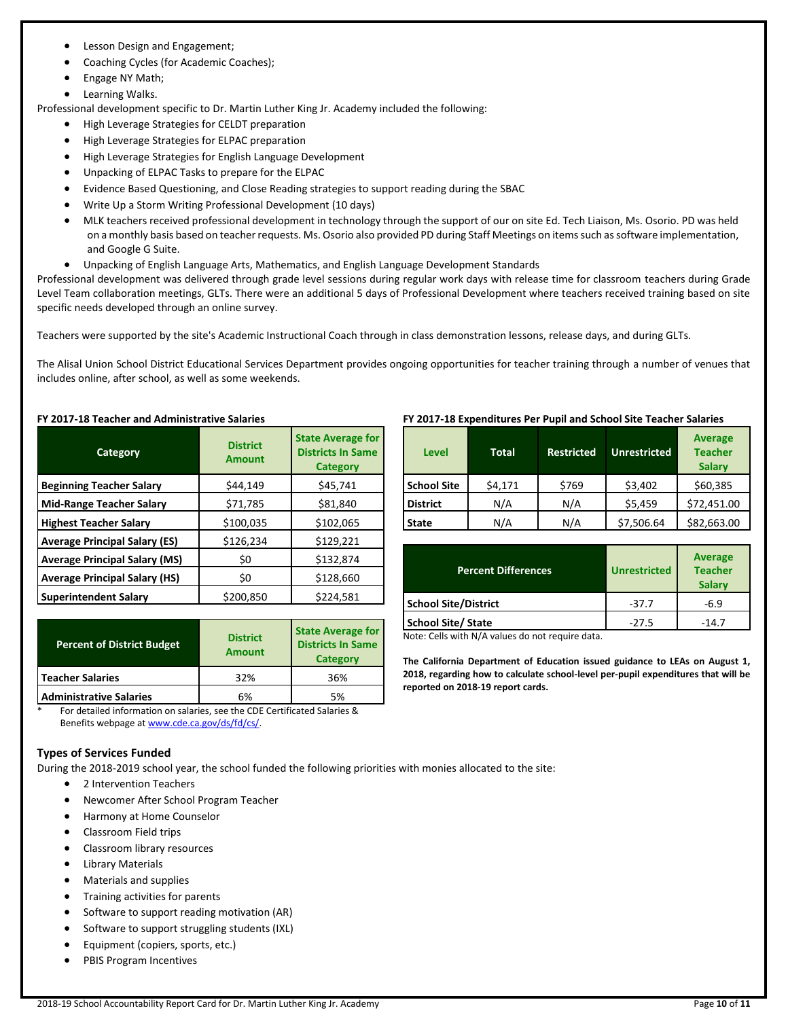- Lesson Design and Engagement;
- Coaching Cycles (for Academic Coaches);
- Engage NY Math;
- Learning Walks.

Professional development specific to Dr. Martin Luther King Jr. Academy included the following:

- High Leverage Strategies for CELDT preparation
- High Leverage Strategies for ELPAC preparation
- High Leverage Strategies for English Language Development
- Unpacking of ELPAC Tasks to prepare for the ELPAC
- Evidence Based Questioning, and Close Reading strategies to support reading during the SBAC
- Write Up a Storm Writing Professional Development (10 days)
- MLK teachers received professional development in technology through the support of our on site Ed. Tech Liaison, Ms. Osorio. PD was held on a monthly basis based on teacher requests. Ms. Osorio also provided PD during Staff Meetings on items such as software implementation, and Google G Suite.
- Unpacking of English Language Arts, Mathematics, and English Language Development Standards

Professional development was delivered through grade level sessions during regular work days with release time for classroom teachers during Grade Level Team collaboration meetings, GLTs. There were an additional 5 days of Professional Development where teachers received training based on site specific needs developed through an online survey.

Teachers were supported by the site's Academic Instructional Coach through in class demonstration lessons, release days, and during GLTs.

The Alisal Union School District Educational Services Department provides ongoing opportunities for teacher training through a number of venues that includes online, after school, as well as some weekends.

## **FY 2017-18 Teacher and Administrative Salaries**

| Category                             | <b>District</b><br><b>Amount</b> | <b>State Average for</b><br><b>Districts In Same</b><br><b>Category</b> |
|--------------------------------------|----------------------------------|-------------------------------------------------------------------------|
| <b>Beginning Teacher Salary</b>      | \$44,149                         | \$45,741                                                                |
| <b>Mid-Range Teacher Salary</b>      | \$71,785                         | \$81,840                                                                |
| <b>Highest Teacher Salary</b>        | \$100,035                        | \$102,065                                                               |
| <b>Average Principal Salary (ES)</b> | \$126,234                        | \$129,221                                                               |
| <b>Average Principal Salary (MS)</b> | \$0                              | \$132,874                                                               |
| <b>Average Principal Salary (HS)</b> | \$0                              | \$128,660                                                               |
| <b>Superintendent Salary</b>         | \$200,850                        | \$224,581                                                               |

| <b>Percent of District Budget</b> | <b>District</b><br><b>Amount</b> | <b>State Average for</b><br><b>Districts In Same</b><br><b>Category</b> |  |
|-----------------------------------|----------------------------------|-------------------------------------------------------------------------|--|
| <b>Teacher Salaries</b>           | 32%                              | 36%                                                                     |  |
| <b>Administrative Salaries</b>    | 6%                               | 5%                                                                      |  |

\* For detailed information on salaries, see the CDE Certificated Salaries & Benefits webpage a[t www.cde.ca.gov/ds/fd/cs/.](http://www.cde.ca.gov/ds/fd/cs/)

## **Types of Services Funded**

During the 2018-2019 school year, the school funded the following priorities with monies allocated to the site:

- 2 Intervention Teachers
- Newcomer After School Program Teacher
- Harmony at Home Counselor
- Classroom Field trips
- Classroom library resources
- Library Materials
- Materials and supplies
- Training activities for parents
- Software to support reading motivation (AR)
- Software to support struggling students (IXL)
- Equipment (copiers, sports, etc.)
- PBIS Program Incentives

## **FY 2017-18 Expenditures Per Pupil and School Site Teacher Salaries**

| Level              | <b>Total</b> | <b>Restricted</b> | <b>Unrestricted</b> | <b>Average</b><br><b>Teacher</b><br><b>Salary</b> |
|--------------------|--------------|-------------------|---------------------|---------------------------------------------------|
| <b>School Site</b> | \$4,171      | \$769             | \$3,402             | \$60,385                                          |
| <b>District</b>    | N/A          | N/A               | \$5,459             | \$72,451.00                                       |
| <b>State</b>       | N/A          | N/A               | \$7,506.64          | \$82,663.00                                       |

| <b>Percent Differences</b>  | <b>Unrestricted</b> | <b>Average</b><br><b>Teacher</b><br><b>Salary</b> |
|-----------------------------|---------------------|---------------------------------------------------|
| <b>School Site/District</b> | $-37.7$             | $-6.9$                                            |
| <b>School Site/ State</b>   | $-27.5$             | $-14.7$                                           |

Note: Cells with N/A values do not require data.

**The California Department of Education issued guidance to LEAs on August 1, 2018, regarding how to calculate school-level per-pupil expenditures that will be reported on 2018-19 report cards.**